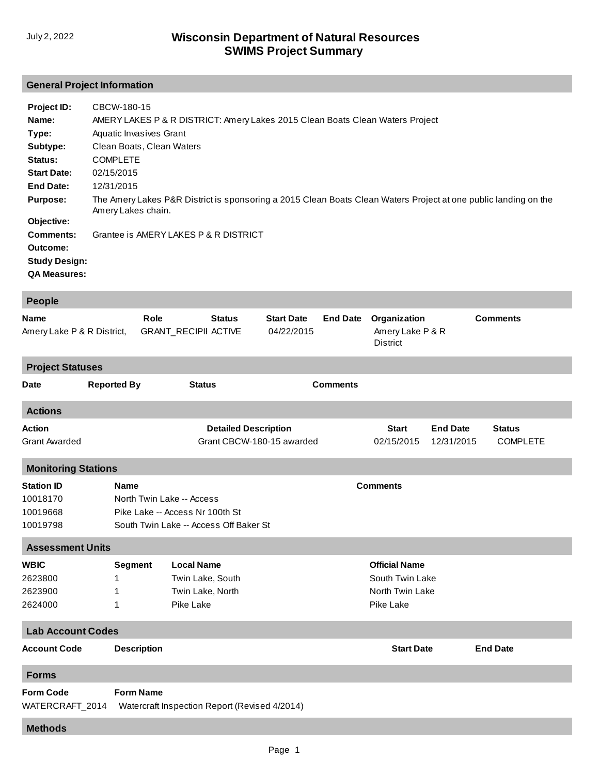## **General Project Information**

| Project ID:          | CBCW-180-15                                                                                                                           |
|----------------------|---------------------------------------------------------------------------------------------------------------------------------------|
| Name:                | AMERY LAKES P & R DISTRICT: Amery Lakes 2015 Clean Boats Clean Waters Project                                                         |
| Type:                | Aquatic Invasives Grant                                                                                                               |
| Subtype:             | Clean Boats, Clean Waters                                                                                                             |
| Status:              | <b>COMPLETE</b>                                                                                                                       |
| <b>Start Date:</b>   | 02/15/2015                                                                                                                            |
| <b>End Date:</b>     | 12/31/2015                                                                                                                            |
| <b>Purpose:</b>      | The Amery Lakes P&R District is sponsoring a 2015 Clean Boats Clean Waters Project at one public landing on the<br>Amery Lakes chain. |
| Objective:           |                                                                                                                                       |
| Comments:            | Grantee is AMERY LAKES P & R DISTRICT                                                                                                 |
| Outcome:             |                                                                                                                                       |
| <b>Study Design:</b> |                                                                                                                                       |
| <b>QA Measures:</b>  |                                                                                                                                       |

| <b>People</b>                                                                    |                                                                                                                                          |                             |                             |                                 |                                                                         |                                                     |                               |                                  |  |  |  |
|----------------------------------------------------------------------------------|------------------------------------------------------------------------------------------------------------------------------------------|-----------------------------|-----------------------------|---------------------------------|-------------------------------------------------------------------------|-----------------------------------------------------|-------------------------------|----------------------------------|--|--|--|
| <b>Name</b><br>Amery Lake P & R District,                                        | Role                                                                                                                                     | <b>GRANT_RECIPII ACTIVE</b> | <b>Status</b>               | <b>Start Date</b><br>04/22/2015 | <b>End Date</b>                                                         | Organization<br>Amery Lake P & R<br><b>District</b> |                               | <b>Comments</b>                  |  |  |  |
| <b>Project Statuses</b>                                                          |                                                                                                                                          |                             |                             |                                 |                                                                         |                                                     |                               |                                  |  |  |  |
| Date                                                                             | <b>Reported By</b>                                                                                                                       | <b>Status</b>               |                             |                                 | <b>Comments</b>                                                         |                                                     |                               |                                  |  |  |  |
| <b>Actions</b>                                                                   |                                                                                                                                          |                             |                             |                                 |                                                                         |                                                     |                               |                                  |  |  |  |
| <b>Action</b><br><b>Grant Awarded</b>                                            |                                                                                                                                          |                             | <b>Detailed Description</b> | Grant CBCW-180-15 awarded       |                                                                         | <b>Start</b><br>02/15/2015                          | <b>End Date</b><br>12/31/2015 | <b>Status</b><br><b>COMPLETE</b> |  |  |  |
| <b>Monitoring Stations</b>                                                       |                                                                                                                                          |                             |                             |                                 |                                                                         |                                                     |                               |                                  |  |  |  |
| <b>Station ID</b><br>10018170<br>10019668<br>10019798<br><b>Assessment Units</b> | <b>Comments</b><br><b>Name</b><br>North Twin Lake -- Access<br>Pike Lake -- Access Nr 100th St<br>South Twin Lake -- Access Off Baker St |                             |                             |                                 |                                                                         |                                                     |                               |                                  |  |  |  |
| <b>WBIC</b><br>2623800<br>2623900<br>2624000                                     | <b>Local Name</b><br><b>Segment</b><br>Twin Lake, South<br>1<br>Twin Lake, North<br>1<br>Pike Lake<br>1                                  |                             |                             |                                 | <b>Official Name</b><br>South Twin Lake<br>North Twin Lake<br>Pike Lake |                                                     |                               |                                  |  |  |  |
| <b>Lab Account Codes</b>                                                         |                                                                                                                                          |                             |                             |                                 |                                                                         |                                                     |                               |                                  |  |  |  |
| <b>Account Code</b>                                                              | <b>Description</b>                                                                                                                       |                             |                             |                                 | <b>Start Date</b>                                                       |                                                     |                               | <b>End Date</b>                  |  |  |  |
| <b>Forms</b>                                                                     |                                                                                                                                          |                             |                             |                                 |                                                                         |                                                     |                               |                                  |  |  |  |
| <b>Form Code</b><br>WATERCRAFT_2014                                              | <b>Form Name</b><br>Watercraft Inspection Report (Revised 4/2014)                                                                        |                             |                             |                                 |                                                                         |                                                     |                               |                                  |  |  |  |
| <b>Methods</b>                                                                   |                                                                                                                                          |                             |                             |                                 |                                                                         |                                                     |                               |                                  |  |  |  |